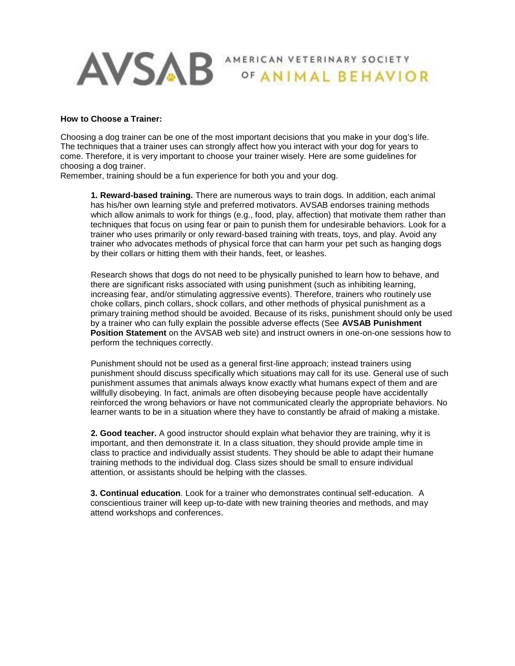

## **How to Choose a Trainer:**

Choosing a dog trainer can be one of the most important decisions that you make in your dog's life. The techniques that a trainer uses can strongly affect how you interact with your dog for years to come. Therefore, it is very important to choose your trainer wisely. Here are some guidelines for choosing a dog trainer.

Remember, training should be a fun experience for both you and your dog.

**1. Reward-based training.** There are numerous ways to train dogs. In addition, each animal has his/her own learning style and preferred motivators. AVSAB endorses training methods which allow animals to work for things (e.g., food, play, affection) that motivate them rather than techniques that focus on using fear or pain to punish them for undesirable behaviors. Look for a trainer who uses primarily or only reward-based training with treats, toys, and play. Avoid any trainer who advocates methods of physical force that can harm your pet such as hanging dogs by their collars or hitting them with their hands, feet, or leashes.

Research shows that dogs do not need to be physically punished to learn how to behave, and there are significant risks associated with using punishment (such as inhibiting learning, increasing fear, and/or stimulating aggressive events). Therefore, trainers who routinely use choke collars, pinch collars, shock collars, and other methods of physical punishment as a primary training method should be avoided. Because of its risks, punishment should only be used by a trainer who can fully explain the possible adverse effects (See **AVSAB Punishment Position Statement** on the AVSAB web site) and instruct owners in one-on-one sessions how to perform the techniques correctly.

Punishment should not be used as a general first-line approach; instead trainers using punishment should discuss specifically which situations may call for its use. General use of such punishment assumes that animals always know exactly what humans expect of them and are willfully disobeying. In fact, animals are often disobeying because people have accidentally reinforced the wrong behaviors or have not communicated clearly the appropriate behaviors. No learner wants to be in a situation where they have to constantly be afraid of making a mistake.

**2. Good teacher.** A good instructor should explain what behavior they are training, why it is important, and then demonstrate it. In a class situation, they should provide ample time in class to practice and individually assist students. They should be able to adapt their humane training methods to the individual dog. Class sizes should be small to ensure individual attention, or assistants should be helping with the classes.

**3. Continual education**. Look for a trainer who demonstrates continual self-education. A conscientious trainer will keep up-to-date with new training theories and methods, and may attend workshops and conferences.